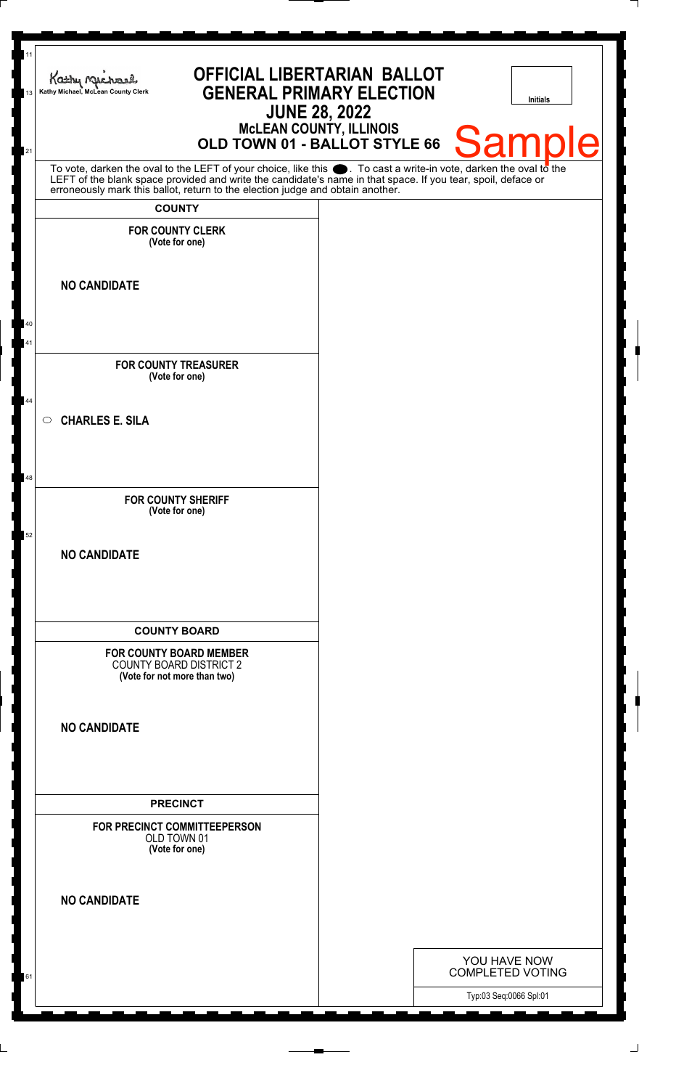| 11<br>13 | <b>OFFICIAL LIBERTARIAN BALLOT</b><br>Kathy Michael<br><b>GENERAL PRIMARY ELECTION</b><br>Kathy Michael, McLean County Clerk<br><b>JUNE 28, 2022</b>                                                                          | <b>Initials</b>                                   |
|----------|-------------------------------------------------------------------------------------------------------------------------------------------------------------------------------------------------------------------------------|---------------------------------------------------|
| 21       | <b>MCLEAN COUNTY, ILLINOIS</b><br>OLD TOWN 01 - BALLOT STYLE 66                                                                                                                                                               | <b>Sample</b>                                     |
|          | To vote, darken the oval to the LEFT of your choice, like this . To cast a write-in vote, darken the oval to the LEFT of the blank space provided and write the candidate's name in that space. If you tear, spoil, deface or |                                                   |
|          | <b>COUNTY</b>                                                                                                                                                                                                                 |                                                   |
|          | <b>FOR COUNTY CLERK</b><br>(Vote for one)                                                                                                                                                                                     |                                                   |
|          | <b>NO CANDIDATE</b>                                                                                                                                                                                                           |                                                   |
| 40       |                                                                                                                                                                                                                               |                                                   |
| 41       |                                                                                                                                                                                                                               |                                                   |
|          | <b>FOR COUNTY TREASURER</b><br>(Vote for one)                                                                                                                                                                                 |                                                   |
| 44       | <b>CHARLES E. SILA</b><br>$\circ$                                                                                                                                                                                             |                                                   |
|          |                                                                                                                                                                                                                               |                                                   |
| 48       |                                                                                                                                                                                                                               |                                                   |
|          | <b>FOR COUNTY SHERIFF</b><br>(Vote for one)                                                                                                                                                                                   |                                                   |
| 52       |                                                                                                                                                                                                                               |                                                   |
|          | <b>NO CANDIDATE</b>                                                                                                                                                                                                           |                                                   |
|          |                                                                                                                                                                                                                               |                                                   |
|          |                                                                                                                                                                                                                               |                                                   |
|          | <b>COUNTY BOARD</b>                                                                                                                                                                                                           |                                                   |
|          | <b>FOR COUNTY BOARD MEMBER</b>                                                                                                                                                                                                |                                                   |
|          | <b>COUNTY BOARD DISTRICT 2</b><br>(Vote for not more than two)                                                                                                                                                                |                                                   |
|          |                                                                                                                                                                                                                               |                                                   |
|          | <b>NO CANDIDATE</b>                                                                                                                                                                                                           |                                                   |
|          |                                                                                                                                                                                                                               |                                                   |
|          |                                                                                                                                                                                                                               |                                                   |
|          | <b>PRECINCT</b>                                                                                                                                                                                                               |                                                   |
|          | FOR PRECINCT COMMITTEEPERSON<br>OLD TOWN 01                                                                                                                                                                                   |                                                   |
|          | (Vote for one)                                                                                                                                                                                                                |                                                   |
|          |                                                                                                                                                                                                                               |                                                   |
|          | <b>NO CANDIDATE</b>                                                                                                                                                                                                           |                                                   |
|          |                                                                                                                                                                                                                               |                                                   |
|          |                                                                                                                                                                                                                               | YOU HAVE NOW                                      |
| 61       |                                                                                                                                                                                                                               | <b>COMPLETED VOTING</b><br>Typ:03 Seq:0066 Spl:01 |
|          |                                                                                                                                                                                                                               |                                                   |